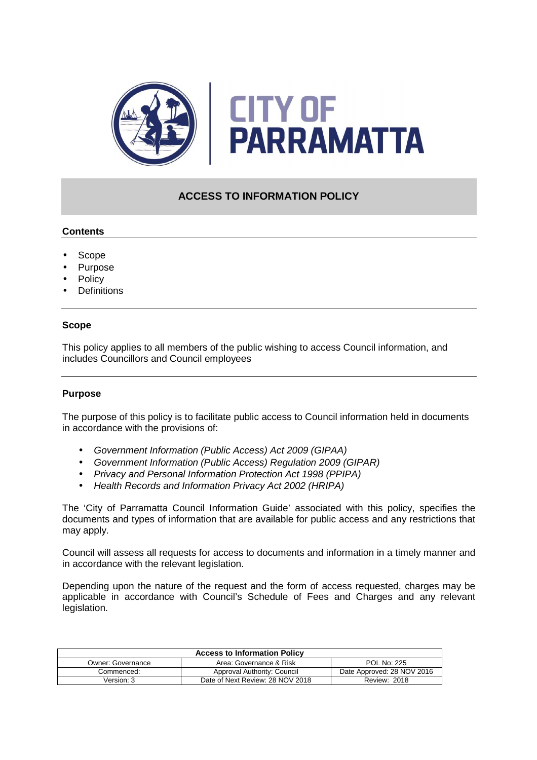

# **ACCESS TO INFORMATION POLICY**

# **Contents**

- Scope
- Purpose
- **Policy**
- **Definitions**

### **Scope**

This policy applies to all members of the public wishing to access Council information, and includes Councillors and Council employees

# **Purpose**

The purpose of this policy is to facilitate public access to Council information held in documents in accordance with the provisions of:

- Government Information (Public Access) Act 2009 (GIPAA)
- Government Information (Public Access) Regulation 2009 (GIPAR)
- Privacy and Personal Information Protection Act 1998 (PPIPA)
- Health Records and Information Privacy Act 2002 (HRIPA)

The 'City of Parramatta Council Information Guide' associated with this policy, specifies the documents and types of information that are available for public access and any restrictions that may apply.

Council will assess all requests for access to documents and information in a timely manner and in accordance with the relevant legislation.

Depending upon the nature of the request and the form of access requested, charges may be applicable in accordance with Council's Schedule of Fees and Charges and any relevant legislation.

| <b>Access to Information Policy</b> |                                  |                            |  |
|-------------------------------------|----------------------------------|----------------------------|--|
| Owner: Governance                   | Area: Governance & Risk          | <b>POL No: 225</b>         |  |
| Commenced:                          | Approval Authority: Council      | Date Approved: 28 NOV 2016 |  |
| Version: 3                          | Date of Next Review: 28 NOV 2018 | <b>Review: 2018</b>        |  |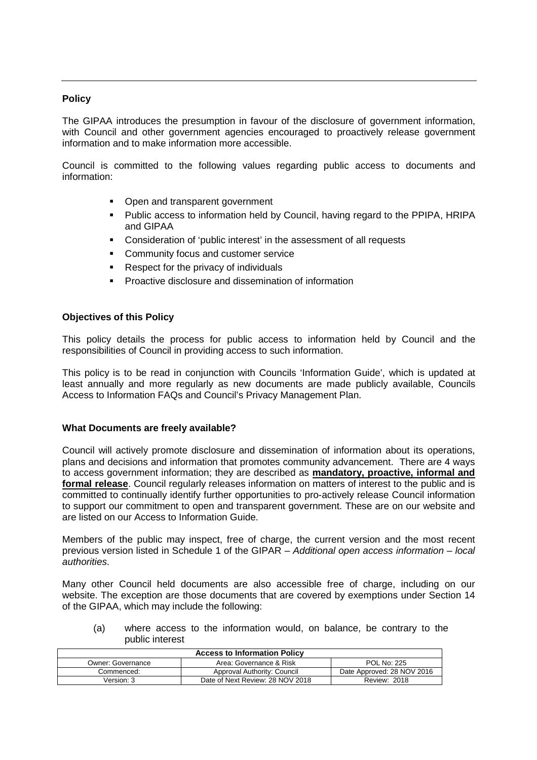### **Policy**

The GIPAA introduces the presumption in favour of the disclosure of government information, with Council and other government agencies encouraged to proactively release government information and to make information more accessible.

 Council is committed to the following values regarding public access to documents and information:

- Open and transparent government
- Public access to information held by Council, having regard to the PPIPA, HRIPA and GIPAA
- Consideration of 'public interest' in the assessment of all requests
- **Community focus and customer service**
- Respect for the privacy of individuals
- **Proactive disclosure and dissemination of information**

### **Objectives of this Policy**

This policy details the process for public access to information held by Council and the responsibilities of Council in providing access to such information.

This policy is to be read in conjunction with Councils 'Information Guide', which is updated at least annually and more regularly as new documents are made publicly available, Councils Access to Information FAQs and Council's Privacy Management Plan.

### **What Documents are freely available?**

Council will actively promote disclosure and dissemination of information about its operations, plans and decisions and information that promotes community advancement. There are 4 ways to access government information; they are described as **mandatory, proactive, informal and formal release**. Council regularly releases information on matters of interest to the public and is committed to continually identify further opportunities to pro-actively release Council information to support our commitment to open and transparent government. These are on our website and are listed on our Access to Information Guide.

Members of the public may inspect, free of charge, the current version and the most recent previous version listed in Schedule 1 of the GIPAR – Additional open access information – local authorities.

Many other Council held documents are also accessible free of charge, including on our website. The exception are those documents that are covered by exemptions under Section 14 of the GIPAA, which may include the following:

(a) where access to the information would, on balance, be contrary to the public interest

| <b>Access to Information Policy</b> |                                  |                            |
|-------------------------------------|----------------------------------|----------------------------|
| Owner: Governance                   | Area: Governance & Risk          | <b>POL No: 225</b>         |
| Commenced:                          | Approval Authority: Council      | Date Approved: 28 NOV 2016 |
| Version: 3                          | Date of Next Review: 28 NOV 2018 | <b>Review: 2018</b>        |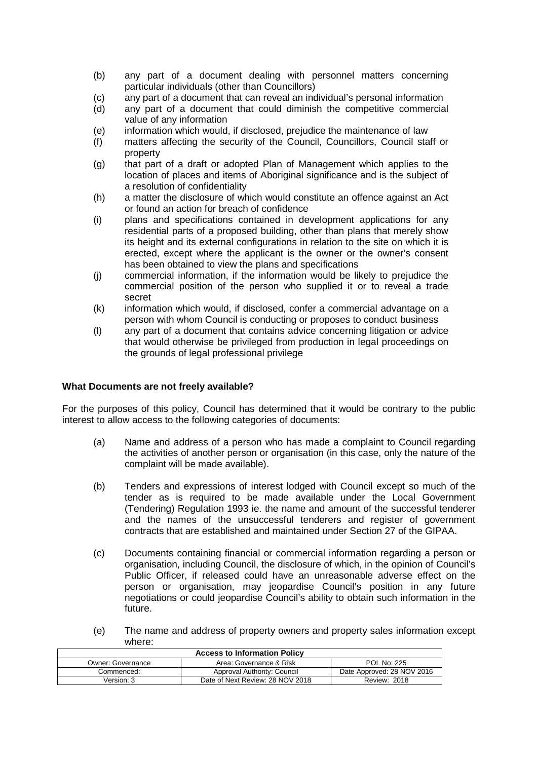- (b) any part of a document dealing with personnel matters concerning particular individuals (other than Councillors)
- (c) any part of a document that can reveal an individual's personal information
- (d) any part of a document that could diminish the competitive commercial value of any information
- (e) information which would, if disclosed, prejudice the maintenance of law
- (f) matters affecting the security of the Council, Councillors, Council staff or property
- (g) that part of a draft or adopted Plan of Management which applies to the location of places and items of Aboriginal significance and is the subject of a resolution of confidentiality
- (h) a matter the disclosure of which would constitute an offence against an Act or found an action for breach of confidence
- (i) plans and specifications contained in development applications for any residential parts of a proposed building, other than plans that merely show its height and its external configurations in relation to the site on which it is erected, except where the applicant is the owner or the owner's consent has been obtained to view the plans and specifications
- (j) commercial information, if the information would be likely to prejudice the commercial position of the person who supplied it or to reveal a trade secret
- (k) information which would, if disclosed, confer a commercial advantage on a person with whom Council is conducting or proposes to conduct business
- (l) any part of a document that contains advice concerning litigation or advice that would otherwise be privileged from production in legal proceedings on the grounds of legal professional privilege

### **What Documents are not freely available?**

For the purposes of this policy, Council has determined that it would be contrary to the public interest to allow access to the following categories of documents:

- (a) Name and address of a person who has made a complaint to Council regarding the activities of another person or organisation (in this case, only the nature of the complaint will be made available).
- (b) Tenders and expressions of interest lodged with Council except so much of the tender as is required to be made available under the Local Government (Tendering) Regulation 1993 ie. the name and amount of the successful tenderer and the names of the unsuccessful tenderers and register of government contracts that are established and maintained under Section 27 of the GIPAA.
- (c) Documents containing financial or commercial information regarding a person or organisation, including Council, the disclosure of which, in the opinion of Council's Public Officer, if released could have an unreasonable adverse effect on the person or organisation, may jeopardise Council's position in any future negotiations or could jeopardise Council's ability to obtain such information in the future.
- (e) The name and address of property owners and property sales information except where:

| <b>Access to Information Policy</b> |                                  |                            |
|-------------------------------------|----------------------------------|----------------------------|
| Owner: Governance                   | Area: Governance & Risk          | <b>POL No: 225</b>         |
| Commenced:                          | Approval Authority: Council      | Date Approved: 28 NOV 2016 |
| Version: 3                          | Date of Next Review: 28 NOV 2018 | <b>Review: 2018</b>        |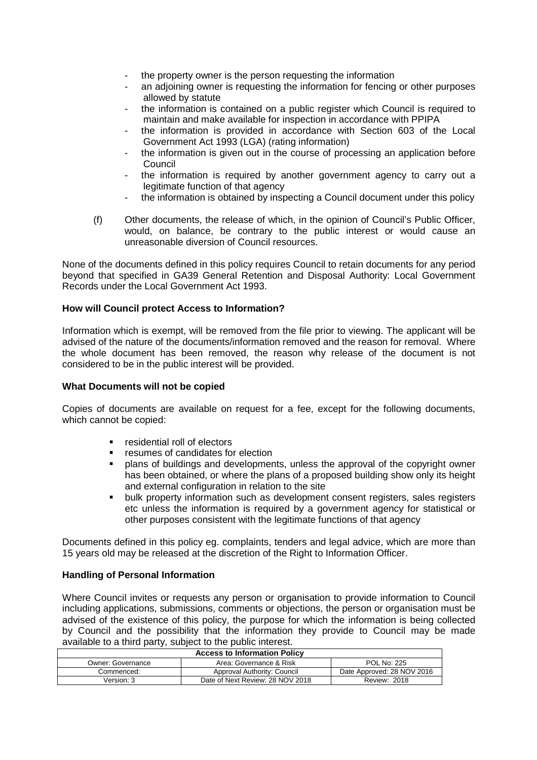- the property owner is the person requesting the information
- an adjoining owner is requesting the information for fencing or other purposes allowed by statute
- the information is contained on a public register which Council is required to maintain and make available for inspection in accordance with PPIPA
- the information is provided in accordance with Section 603 of the Local Government Act 1993 (LGA) (rating information)
- the information is given out in the course of processing an application before Council
- the information is required by another government agency to carry out a legitimate function of that agency
- the information is obtained by inspecting a Council document under this policy
- (f) Other documents, the release of which, in the opinion of Council's Public Officer, would, on balance, be contrary to the public interest or would cause an unreasonable diversion of Council resources.

None of the documents defined in this policy requires Council to retain documents for any period beyond that specified in GA39 General Retention and Disposal Authority: Local Government Records under the Local Government Act 1993.

# **How will Council protect Access to Information?**

Information which is exempt, will be removed from the file prior to viewing. The applicant will be advised of the nature of the documents/information removed and the reason for removal. Where the whole document has been removed, the reason why release of the document is not considered to be in the public interest will be provided.

# **What Documents will not be copied**

Copies of documents are available on request for a fee, except for the following documents, which cannot be copied:

- **F** residential roll of electors
- **F** resumes of candidates for election
- plans of buildings and developments, unless the approval of the copyright owner has been obtained, or where the plans of a proposed building show only its height and external configuration in relation to the site
- **•** bulk property information such as development consent registers, sales registers etc unless the information is required by a government agency for statistical or other purposes consistent with the legitimate functions of that agency

Documents defined in this policy eg. complaints, tenders and legal advice, which are more than 15 years old may be released at the discretion of the Right to Information Officer.

# **Handling of Personal Information**

Where Council invites or requests any person or organisation to provide information to Council including applications, submissions, comments or objections, the person or organisation must be advised of the existence of this policy, the purpose for which the information is being collected by Council and the possibility that the information they provide to Council may be made available to a third party, subject to the public interest.

| <b>Access to Information Policy</b> |                                  |                            |
|-------------------------------------|----------------------------------|----------------------------|
| Owner: Governance                   | Area: Governance & Risk          | <b>POL No: 225</b>         |
| Commenced:                          | Approval Authority: Council      | Date Approved: 28 NOV 2016 |
| Version: 3                          | Date of Next Review: 28 NOV 2018 | <b>Review: 2018</b>        |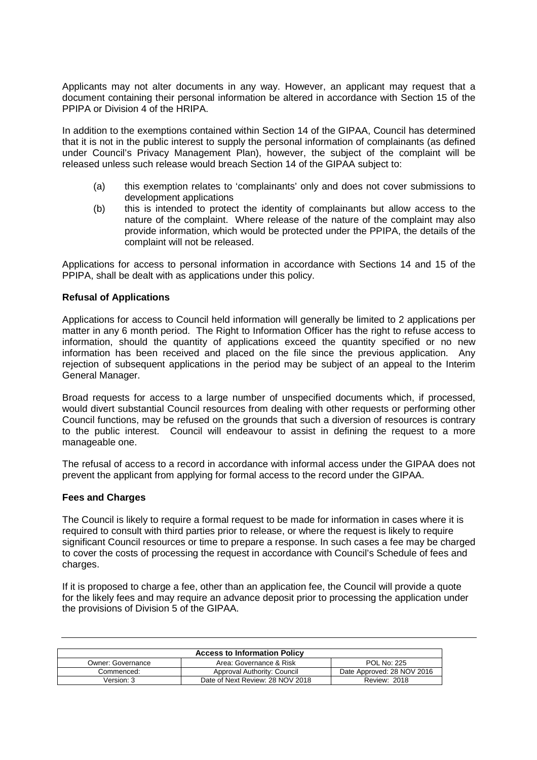Applicants may not alter documents in any way. However, an applicant may request that a document containing their personal information be altered in accordance with Section 15 of the PPIPA or Division 4 of the HRIPA.

In addition to the exemptions contained within Section 14 of the GIPAA, Council has determined that it is not in the public interest to supply the personal information of complainants (as defined under Council's Privacy Management Plan), however, the subject of the complaint will be released unless such release would breach Section 14 of the GIPAA subject to:

- (a) this exemption relates to 'complainants' only and does not cover submissions to development applications
- (b) this is intended to protect the identity of complainants but allow access to the nature of the complaint. Where release of the nature of the complaint may also provide information, which would be protected under the PPIPA, the details of the complaint will not be released.

Applications for access to personal information in accordance with Sections 14 and 15 of the PPIPA, shall be dealt with as applications under this policy.

### **Refusal of Applications**

Applications for access to Council held information will generally be limited to 2 applications per matter in any 6 month period. The Right to Information Officer has the right to refuse access to information, should the quantity of applications exceed the quantity specified or no new information has been received and placed on the file since the previous application. Any rejection of subsequent applications in the period may be subject of an appeal to the Interim General Manager.

Broad requests for access to a large number of unspecified documents which, if processed, would divert substantial Council resources from dealing with other requests or performing other Council functions, may be refused on the grounds that such a diversion of resources is contrary to the public interest. Council will endeavour to assist in defining the request to a more manageable one.

The refusal of access to a record in accordance with informal access under the GIPAA does not prevent the applicant from applying for formal access to the record under the GIPAA.

### **Fees and Charges**

The Council is likely to require a formal request to be made for information in cases where it is required to consult with third parties prior to release, or where the request is likely to require significant Council resources or time to prepare a response. In such cases a fee may be charged to cover the costs of processing the request in accordance with Council's Schedule of fees and charges.

If it is proposed to charge a fee, other than an application fee, the Council will provide a quote for the likely fees and may require an advance deposit prior to processing the application under the provisions of Division 5 of the GIPAA.

| <b>Access to Information Policy</b> |                                  |                            |
|-------------------------------------|----------------------------------|----------------------------|
| Owner: Governance                   | Area: Governance & Risk          | <b>POL No: 225</b>         |
| Commenced:                          | Approval Authority: Council      | Date Approved: 28 NOV 2016 |
| Version: 3                          | Date of Next Review: 28 NOV 2018 | <b>Review: 2018</b>        |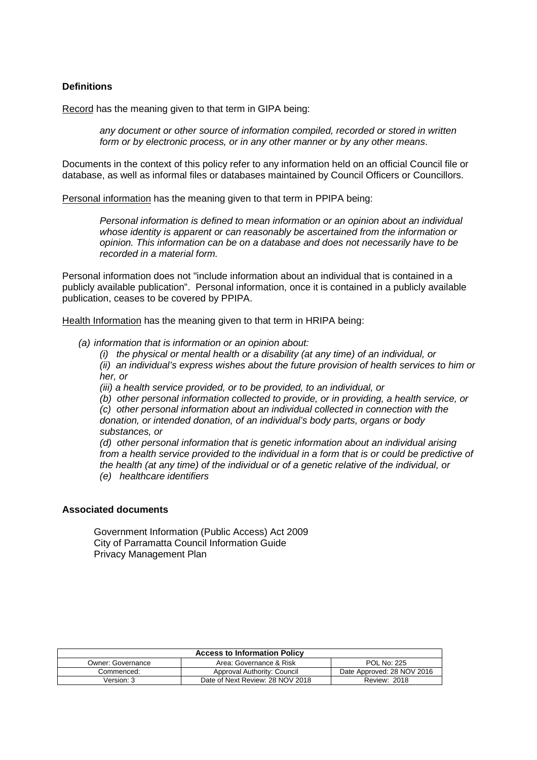### **Definitions**

Record has the meaning given to that term in GIPA being:

any document or other source of information compiled, recorded or stored in written form or by electronic process, or in any other manner or by any other means.

Documents in the context of this policy refer to any information held on an official Council file or database, as well as informal files or databases maintained by Council Officers or Councillors.

Personal information has the meaning given to that term in PPIPA being:

Personal information is defined to mean information or an opinion about an individual whose identity is apparent or can reasonably be ascertained from the information or opinion. This information can be on a database and does not necessarily have to be recorded in a material form.

Personal information does not "include information about an individual that is contained in a publicly available publication". Personal information, once it is contained in a publicly available publication, ceases to be covered by PPIPA.

Health Information has the meaning given to that term in HRIPA being:

(a) information that is information or an opinion about:

(i) the physical or mental health or a disability (at any time) of an individual, or (ii) an individual's express wishes about the future provision of health services to him or her, or

(iii) a health service provided, or to be provided, to an individual, or

(b) other personal information collected to provide, or in providing, a health service, or (c) other personal information about an individual collected in connection with the donation, or intended donation, of an individual's body parts, organs or body substances, or

(d) other personal information that is genetic information about an individual arising from a health service provided to the individual in a form that is or could be predictive of the health (at any time) of the individual or of a genetic relative of the individual, or (e) healthcare identifiers

#### **Associated documents**

Government Information (Public Access) Act 2009 City of Parramatta Council Information Guide Privacy Management Plan

| <b>Access to Information Policy</b> |                                  |                            |
|-------------------------------------|----------------------------------|----------------------------|
| Owner: Governance                   | Area: Governance & Risk          | <b>POL No: 225</b>         |
| Commenced:                          | Approval Authority: Council      | Date Approved: 28 NOV 2016 |
| Version: 3                          | Date of Next Review: 28 NOV 2018 | <b>Review: 2018</b>        |